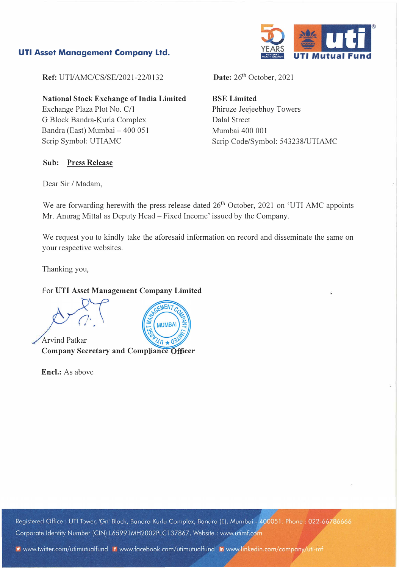### **UTI Asset Management Company Ltd.**



**Ref:** UTI/AMC/CS/SE/2021-22/0132

**National Stock Exchange of India Limited**  Exchange Plaza Plot No. C/1 G Block Bandra-Kurla Complex Bandra (East) Mumbai- 400 051 Scrip Symbol: UTIAMC

#### **Sub: Press Release**

Date: 26<sup>th</sup> October, 2021

**BSE Limited**  Phiroze Jeejeebhoy Towers Dalal Street Mumbai 400 001 Scrip Code/Symbol: 543238/UTIAMC

Dear Sir / Madam,

We are forwarding herewith the press release dated  $26<sup>th</sup>$  October, 2021 on 'UTI AMC appoints Mr. Anurag Mittal as Deputy Head- Fixed Income' issued by the Company.

We request you to kindly take the aforesaid information on record and disseminate the same on your respective websites.

Thanking you,

### For **UTI Asset Management Company Limited**

Arvind Patkar



**Company Secretary and Compliance Officer** 

**Encl.:** As above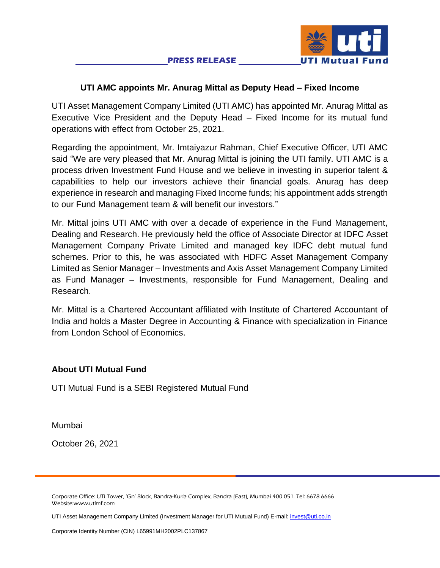

# **UTI AMC appoints Mr. Anurag Mittal as Deputy Head – Fixed Income**

UTI Asset Management Company Limited (UTI AMC) has appointed Mr. Anurag Mittal as Executive Vice President and the Deputy Head – Fixed Income for its mutual fund operations with effect from October 25, 2021.

Regarding the appointment, Mr. Imtaiyazur Rahman, Chief Executive Officer, UTI AMC said "We are very pleased that Mr. Anurag Mittal is joining the UTI family. UTI AMC is a process driven Investment Fund House and we believe in investing in superior talent & capabilities to help our investors achieve their financial goals. Anurag has deep experience in research and managing Fixed Income funds; his appointment adds strength to our Fund Management team & will benefit our investors."

Mr. Mittal joins UTI AMC with over a decade of experience in the Fund Management, Dealing and Research. He previously held the office of Associate Director at IDFC Asset Management Company Private Limited and managed key IDFC debt mutual fund schemes. Prior to this, he was associated with HDFC Asset Management Company Limited as Senior Manager – Investments and Axis Asset Management Company Limited as Fund Manager – Investments, responsible for Fund Management, Dealing and Research.

Mr. Mittal is a Chartered Accountant affiliated with Institute of Chartered Accountant of India and holds a Master Degree in Accounting & Finance with specialization in Finance from London School of Economics.

# **About UTI Mutual Fund**

UTI Mutual Fund is a SEBI Registered Mutual Fund

Mumbai

October 26, 2021

Corporate Office: UTI Tower, 'Gn' Block, Bandra-Kurla Complex, Bandra (East), Mumbai 400 051. Tel: 6678 6666 Website:www.utimf.com

UTI Asset Management Company Limited (Investment Manager for UTI Mutual Fund) E-mail[: invest@uti.co.in](mailto:invest@uti.co.in)